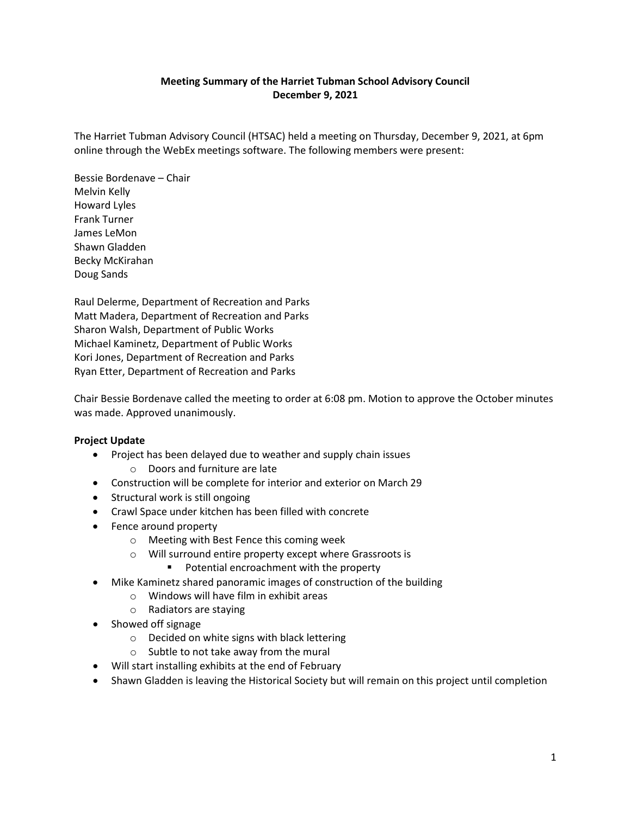## **Meeting Summary of the Harriet Tubman School Advisory Council December 9, 2021**

The Harriet Tubman Advisory Council (HTSAC) held a meeting on Thursday, December 9, 2021, at 6pm online through the WebEx meetings software. The following members were present:

Bessie Bordenave – Chair Melvin Kelly Howard Lyles Frank Turner James LeMon Shawn Gladden Becky McKirahan Doug Sands

Raul Delerme, Department of Recreation and Parks Matt Madera, Department of Recreation and Parks Sharon Walsh, Department of Public Works Michael Kaminetz, Department of Public Works Kori Jones, Department of Recreation and Parks Ryan Etter, Department of Recreation and Parks

Chair Bessie Bordenave called the meeting to order at 6:08 pm. Motion to approve the October minutes was made. Approved unanimously.

## **Project Update**

- Project has been delayed due to weather and supply chain issues
	- o Doors and furniture are late
- Construction will be complete for interior and exterior on March 29
- Structural work is still ongoing
- Crawl Space under kitchen has been filled with concrete
- Fence around property
	- o Meeting with Best Fence this coming week
		- o Will surround entire property except where Grassroots is
			- **Potential encroachment with the property**
- Mike Kaminetz shared panoramic images of construction of the building
	- o Windows will have film in exhibit areas
	- o Radiators are staying
- Showed off signage
	- o Decided on white signs with black lettering
	- o Subtle to not take away from the mural
- Will start installing exhibits at the end of February
- Shawn Gladden is leaving the Historical Society but will remain on this project until completion